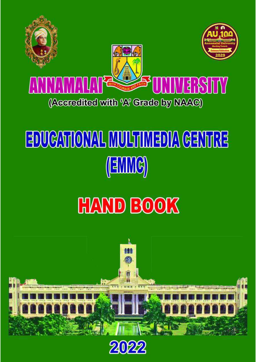

# **EDUCATIONAL MULTIMEDIA GENTRE** (EMMC)

## **HAND BOOK**



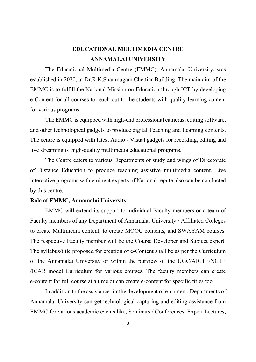#### **EDUCATIONAL MULTIMEDIA CENTRE ANNAMALAI UNIVERSITY**

The Educational Multimedia Centre (EMMC), Annamalai University, was established in 2020, at Dr.R.K.Shanmugam Chettiar Building. The main aim of the EMMC is to fulfill the National Mission on Education through ICT by developing e-Content for all courses to reach out to the students with quality learning content for various programs.

The EMMC is equipped with high-end professional cameras, editing software, and other technological gadgets to produce digital Teaching and Learning contents. The centre is equipped with latest Audio - Visual gadgets for recording, editing and live streaming of high-quality multimedia educational programs.

The Centre caters to various Departments of study and wings of Directorate of Distance Education to produce teaching assistive multimedia content. Live interactive programs with eminent experts of National repute also can be conducted by this centre.

#### **Role of EMMC, Annamalai University**

EMMC will extend its support to individual Faculty members or a team of Faculty members of any Department of Annamalai University / Affiliated Colleges to create Multimedia content, to create MOOC contents, and SWAYAM courses. The respective Faculty member will be the Course Developer and Subject expert. The syllabus/title proposed for creation of e-Content shall be as per the Curriculum of the Annamalai University or within the purview of the UGC/AICTE/NCTE /ICAR model Curriculum for various courses. The faculty members can create e-content for full course at a time or can create e-content for specific titles too.

In addition to the assistance for the development of e-content, Departments of Annamalai University can get technological capturing and editing assistance from EMMC for various academic events like, Seminars / Conferences, Expert Lectures,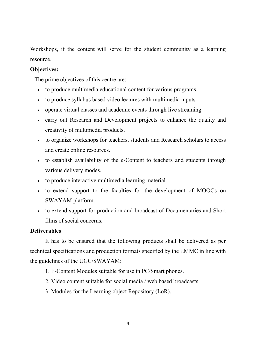Workshops, if the content will serve for the student community as a learning resource.

#### **Objectives:**

The prime objectives of this centre are:

- to produce multimedia educational content for various programs.
- to produce syllabus based video lectures with multimedia inputs.
- operate virtual classes and academic events through live streaming.
- carry out Research and Development projects to enhance the quality and creativity of multimedia products.
- to organize workshops for teachers, students and Research scholars to access and create online resources.
- to establish availability of the e-Content to teachers and students through various delivery modes.
- to produce interactive multimedia learning material.
- to extend support to the faculties for the development of MOOCs on SWAYAM platform.
- to extend support for production and broadcast of Documentaries and Short films of social concerns.

#### **Deliverables**

 It has to be ensured that the following products shall be delivered as per technical specifications and production formats specified by the EMMC in line with the guidelines of the UGC/SWAYAM:

- 1. E-Content Modules suitable for use in PC/Smart phones.
- 2. Video content suitable for social media / web based broadcasts.
- 3. Modules for the Learning object Repository (LoR).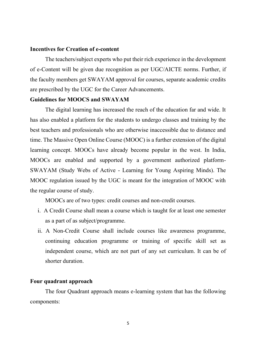#### **Incentives for Creation of e-content**

The teachers/subject experts who put their rich experience in the development of e-Content will be given due recognition as per UGC/AICTE norms. Further, if the faculty members get SWAYAM approval for courses, separate academic credits are prescribed by the UGC for the Career Advancements.

#### **Guidelines for MOOCS and SWAYAM**

The digital learning has increased the reach of the education far and wide. It has also enabled a platform for the students to undergo classes and training by the best teachers and professionals who are otherwise inaccessible due to distance and time. The Massive Open Online Course (MOOC) is a further extension of the digital learning concept. MOOCs have already become popular in the west. In India, MOOCs are enabled and supported by a government authorized platform-SWAYAM (Study Webs of Active - Learning for Young Aspiring Minds). The MOOC regulation issued by the UGC is meant for the integration of MOOC with the regular course of study.

MOOCs are of two types: credit courses and non-credit courses.

- i. A Credit Course shall mean a course which is taught for at least one semester as a part of as subject/programme.
- ii. A Non-Credit Course shall include courses like awareness programme, continuing education programme or training of specific skill set as independent course, which are not part of any set curriculum. It can be of shorter duration.

#### **Four quadrant approach**

The four Quadrant approach means e-learning system that has the following components: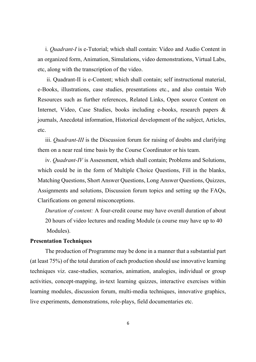i. *Quadrant-I* is e-Tutorial; which shall contain: Video and Audio Content in an organized form, Animation, Simulations, video demonstrations, Virtual Labs, etc, along with the transcription of the video.

 ii. Quadrant-II is e-Content; which shall contain; self instructional material, e-Books, illustrations, case studies, presentations etc., and also contain Web Resources such as further references, Related Links, Open source Content on Internet, Video, Case Studies, books including e-books, research papers & journals, Anecdotal information, Historical development of the subject, Articles, etc.

iii. *Quadrant-III* is the Discussion forum for raising of doubts and clarifying them on a near real time basis by the Course Coordinator or his team.

iv. *Quadrant-IV* is Assessment, which shall contain; Problems and Solutions, which could be in the form of Multiple Choice Questions, Fill in the blanks, Matching Questions, Short Answer Questions, Long Answer Questions, Quizzes, Assignments and solutions, Discussion forum topics and setting up the FAQs, Clarifications on general misconceptions.

*Duration of content:* A four-credit course may have overall duration of about 20 hours of video lectures and reading Module (a course may have up to 40 Modules).

#### **Presentation Techniques**

The production of Programme may be done in a manner that a substantial part (at least 75%) of the total duration of each production should use innovative learning techniques viz. case-studies, scenarios, animation, analogies, individual or group activities, concept-mapping, in-text learning quizzes, interactive exercises within learning modules, discussion forum, multi-media techniques, innovative graphics, live experiments, demonstrations, role-plays, field documentaries etc.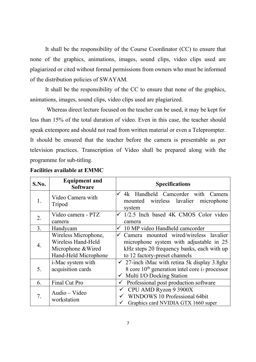It shall be the responsibility of the Course Coordinator (CC) to ensure that none of the graphics, animations, images, sound clips, video clips used are plagiarized or cited without formal permissions from owners who must be informed of the distribution policies of SWAYAM.

It shall be the responsibility of the CC to ensure that none of the graphics, animations, images, sound clips, video clips used are plagiarized.

 Whereas direct lecture focused on the teacher can be used, it may be kept for less than 15% of the total duration of video. Even in this case, the teacher should speak extempore and should not read from written material or even a Teleprompter. It should be ensured that the teacher before the camera is presentable as per television practices. Transcription of Video shall be prepared along with the programme for sub-titling.

| S.No.            | <b>Equipment and</b><br><b>Software</b>                                                  | <b>Specifications</b>                                                                                                                                                 |
|------------------|------------------------------------------------------------------------------------------|-----------------------------------------------------------------------------------------------------------------------------------------------------------------------|
| 1.               | Video Camera with<br>Tripod                                                              | 4k Handheld Camcorder with Camera<br>mounted wireless lavalier<br>microphone<br>system                                                                                |
| 2.               | Video camera - PTZ<br>camera                                                             | 1/2.5 Inch based 4K CMOS Color video<br>$\checkmark$<br>camera                                                                                                        |
| 3 <sub>1</sub>   | Handycam                                                                                 | 10 MP video Handheld camcorder<br>✓                                                                                                                                   |
| $\overline{4}$ . | Wireless Microphone,<br>Wireless Hand-Held<br>Microphone & Wired<br>Hand-Held Microphone | Camera mounted wired/wireless lavalier<br>✓<br>microphone system with adjustable in 25<br>kHz steps 20 frequency banks, each with up<br>to 12 factory-preset channels |
| 5.               | i-Mac system with<br>acquisition cards                                                   | $\checkmark$ 27-inch iMac with retina 5k display 3.8ghz<br>8 core $10th$ generation intel core i <sub>7</sub> processor<br>$\checkmark$ Multi I/O Docking Station     |
| 6.               | Final Cut Pro                                                                            | Professional post production software<br>$\checkmark$                                                                                                                 |
| 7.               | Audio – Video<br>workstation                                                             | CPU AMD Ryzon 9 3900X<br>WINDOWS 10 Professional 64bit<br>Graphics card NVIDIA GTX 1660 super                                                                         |

**Facilities available at EMMC**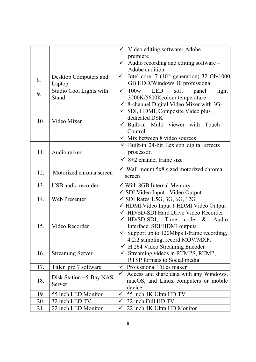| premiere<br>Audio recording and editing software –<br>$\checkmark$<br>Adobe audition<br>Intel core i7 (10 <sup>th</sup> generation) 32 Gb/1000<br>$\checkmark$<br>Desktop Computers and<br>GB HDD/Windows 10 professional<br>Laptop<br>Studio Cool Lights with<br>LED<br>soft<br>$\sqrt{100}$ w<br>light<br>panel<br>Stand<br>3200K/5600Kcolour temperature<br>$\checkmark$ 8-channel Digital Video Mixer with 3G-<br>√ SDI, HDMI, Composite Video plus<br>dedicated DSK<br>Video Mixer<br>$\checkmark$ Built-in Multi viewer with Touch<br>Control<br>$\checkmark$ Mix between 8 video sources<br>$\checkmark$ Built-in 24-bit Lexicon digital effects<br>Audio mixer<br>processor.<br>$\checkmark$ 8+2 channel frame size |
|-----------------------------------------------------------------------------------------------------------------------------------------------------------------------------------------------------------------------------------------------------------------------------------------------------------------------------------------------------------------------------------------------------------------------------------------------------------------------------------------------------------------------------------------------------------------------------------------------------------------------------------------------------------------------------------------------------------------------------|
|                                                                                                                                                                                                                                                                                                                                                                                                                                                                                                                                                                                                                                                                                                                             |
|                                                                                                                                                                                                                                                                                                                                                                                                                                                                                                                                                                                                                                                                                                                             |
|                                                                                                                                                                                                                                                                                                                                                                                                                                                                                                                                                                                                                                                                                                                             |
|                                                                                                                                                                                                                                                                                                                                                                                                                                                                                                                                                                                                                                                                                                                             |
|                                                                                                                                                                                                                                                                                                                                                                                                                                                                                                                                                                                                                                                                                                                             |
|                                                                                                                                                                                                                                                                                                                                                                                                                                                                                                                                                                                                                                                                                                                             |
|                                                                                                                                                                                                                                                                                                                                                                                                                                                                                                                                                                                                                                                                                                                             |
|                                                                                                                                                                                                                                                                                                                                                                                                                                                                                                                                                                                                                                                                                                                             |
|                                                                                                                                                                                                                                                                                                                                                                                                                                                                                                                                                                                                                                                                                                                             |
|                                                                                                                                                                                                                                                                                                                                                                                                                                                                                                                                                                                                                                                                                                                             |
|                                                                                                                                                                                                                                                                                                                                                                                                                                                                                                                                                                                                                                                                                                                             |
|                                                                                                                                                                                                                                                                                                                                                                                                                                                                                                                                                                                                                                                                                                                             |
|                                                                                                                                                                                                                                                                                                                                                                                                                                                                                                                                                                                                                                                                                                                             |
|                                                                                                                                                                                                                                                                                                                                                                                                                                                                                                                                                                                                                                                                                                                             |
|                                                                                                                                                                                                                                                                                                                                                                                                                                                                                                                                                                                                                                                                                                                             |
|                                                                                                                                                                                                                                                                                                                                                                                                                                                                                                                                                                                                                                                                                                                             |
| $\checkmark$ Wall mount 5x8 sized motorized chroma                                                                                                                                                                                                                                                                                                                                                                                                                                                                                                                                                                                                                                                                          |
| screen                                                                                                                                                                                                                                                                                                                                                                                                                                                                                                                                                                                                                                                                                                                      |
| USB audio recorder<br>$\checkmark$ With 8GB Internal Memory                                                                                                                                                                                                                                                                                                                                                                                                                                                                                                                                                                                                                                                                 |
| ✓ SDI Video Input - Video Output                                                                                                                                                                                                                                                                                                                                                                                                                                                                                                                                                                                                                                                                                            |
| $\checkmark$ SDI Rates 1.5G, 3G, 6G, 12G<br>Web Presenter                                                                                                                                                                                                                                                                                                                                                                                                                                                                                                                                                                                                                                                                   |
| └ HDMI Video Input 1 HDMI Video Output                                                                                                                                                                                                                                                                                                                                                                                                                                                                                                                                                                                                                                                                                      |
|                                                                                                                                                                                                                                                                                                                                                                                                                                                                                                                                                                                                                                                                                                                             |
|                                                                                                                                                                                                                                                                                                                                                                                                                                                                                                                                                                                                                                                                                                                             |
| $\checkmark$ HD/SD-SDI, Time code<br>$\&$<br>Audio                                                                                                                                                                                                                                                                                                                                                                                                                                                                                                                                                                                                                                                                          |
| Video Recorder<br>Interface. SDI/HDMI outputs.                                                                                                                                                                                                                                                                                                                                                                                                                                                                                                                                                                                                                                                                              |
| $\checkmark$ Support up to 120Mbps I-frame recording,                                                                                                                                                                                                                                                                                                                                                                                                                                                                                                                                                                                                                                                                       |
| 4:2:2 sampling, record MOV/MXF.                                                                                                                                                                                                                                                                                                                                                                                                                                                                                                                                                                                                                                                                                             |
| H.264 Video Streaming Encoder                                                                                                                                                                                                                                                                                                                                                                                                                                                                                                                                                                                                                                                                                               |
| $\checkmark$ Streaming videos in RTMPS, RTMP,<br><b>Streaming Server</b>                                                                                                                                                                                                                                                                                                                                                                                                                                                                                                                                                                                                                                                    |
| RTSP formats to Social media                                                                                                                                                                                                                                                                                                                                                                                                                                                                                                                                                                                                                                                                                                |
| Professional Titles maker<br>Titler pro 7 software<br>$\checkmark$                                                                                                                                                                                                                                                                                                                                                                                                                                                                                                                                                                                                                                                          |
| Access and share data with any Windows,<br>$\checkmark$<br>Disk Station +5-Bay NAS                                                                                                                                                                                                                                                                                                                                                                                                                                                                                                                                                                                                                                          |
| macOS, and Linux computers or mobile<br>Server                                                                                                                                                                                                                                                                                                                                                                                                                                                                                                                                                                                                                                                                              |
| device                                                                                                                                                                                                                                                                                                                                                                                                                                                                                                                                                                                                                                                                                                                      |
| 55 inch LED Monitor<br>55 inch 4K Ultra HD TV<br>$\checkmark$<br>32 inch LED TV<br>32 inch Full HD TV<br>$\checkmark$                                                                                                                                                                                                                                                                                                                                                                                                                                                                                                                                                                                                       |
| Motorized chroma screen<br>← HD/SD-SDI Hard Drive Video Recorder                                                                                                                                                                                                                                                                                                                                                                                                                                                                                                                                                                                                                                                            |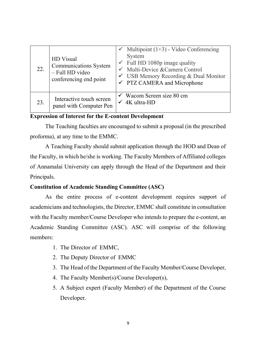| 22. | HD Visual<br><b>Communications System</b><br>- Full HD video<br>conferencing end point | $\checkmark$ Multipoint (1+3) - Video Conferencing<br>System<br>$\checkmark$ Full HD 1080p image quality<br>← Multi-Device & Camera Control<br>$\checkmark$ USB Memory Recording & Dual Monitor<br>$\checkmark$ PTZ CAMERA and Microphone |
|-----|----------------------------------------------------------------------------------------|-------------------------------------------------------------------------------------------------------------------------------------------------------------------------------------------------------------------------------------------|
| 23. | Interactive touch screen<br>panel with Computer Pen                                    | $\checkmark$ Wacom Screen size 80 cm<br>$\checkmark$ 4K ultra-HD                                                                                                                                                                          |

#### **Expression of Interest for the E-content Development**

The Teaching faculties are encouraged to submit a proposal (in the prescribed proforma), at any time to the EMMC.

A Teaching Faculty should submit application through the HOD and Dean of the Faculty, in which he/she is working. The Faculty Members of Affiliated colleges of Annamalai University can apply through the Head of the Department and their Principals.

#### **Constitution of Academic Standing Committee (ASC)**

As the entire process of e-content development requires support of academicians and technologists, the Director, EMMC shall constitute in consultation with the Faculty member/Course Developer who intends to prepare the e-content, an Academic Standing Committee (ASC). ASC will comprise of the following members:

- 1. The Director of EMMC,
- 2. The Deputy Director of EMMC
- 3. The Head of the Department of the Faculty Member/Course Developer,
- 4. The Faculty Member(s)/Course Developer(s),
- 5. A Subject expert (Faculty Member) of the Department of the Course Developer.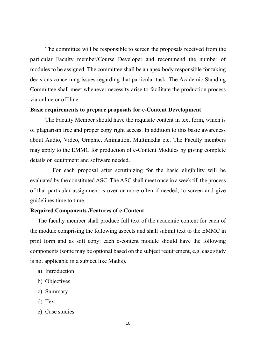The committee will be responsible to screen the proposals received from the particular Faculty member/Course Developer and recommend the number of modules to be assigned. The committee shall be an apex body responsible for taking decisions concerning issues regarding that particular task. The Academic Standing Committee shall meet whenever necessity arise to facilitate the production process via online or off line.

#### **Basic requirements to prepare proposals for e-Content Development**

The Faculty Member should have the requisite content in text form, which is of plagiarism free and proper copy right access. In addition to this basic awareness about Audio, Video, Graphic, Animation, Multimedia etc. The Faculty members may apply to the EMMC for production of e-Content Modules by giving complete details on equipment and software needed.

 For each proposal after scrutinizing for the basic eligibility will be evaluated by the constituted ASC. The ASC shall meet once in a week till the process of that particular assignment is over or more often if needed, to screen and give guidelines time to time.

#### **Required Components /Features of e-Content**

The faculty member shall produce full text of the academic content for each of the module comprising the following aspects and shall submit text to the EMMC in print form and as soft copy: each e-content module should have the following components (some may be optional based on the subject requirement, e.g. case study is not applicable in a subject like Maths).

- a) Introduction
- b) Objectives
- c) Summary
- d) Text
- e) Case studies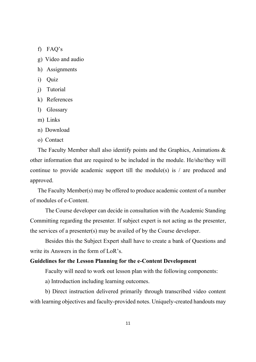f) FAQ's

- g) Video and audio
- h) Assignments
- i) Quiz
- j) Tutorial
- k) References
- l) Glossary
- m) Links
- n) Download
- o) Contact

The Faculty Member shall also identify points and the Graphics, Animations & other information that are required to be included in the module. He/she/they will continue to provide academic support till the module(s) is / are produced and approved.

The Faculty Member(s) may be offered to produce academic content of a number of modules of e-Content.

The Course developer can decide in consultation with the Academic Standing Committing regarding the presenter. If subject expert is not acting as the presenter, the services of a presenter(s) may be availed of by the Course developer.

Besides this the Subject Expert shall have to create a bank of Questions and write its Answers in the form of LoR's.

#### **Guidelines for the Lesson Planning for the e-Content Development**

Faculty will need to work out lesson plan with the following components:

a) Introduction including learning outcomes.

b) Direct instruction delivered primarily through transcribed video content with learning objectives and faculty-provided notes. Uniquely-created handouts may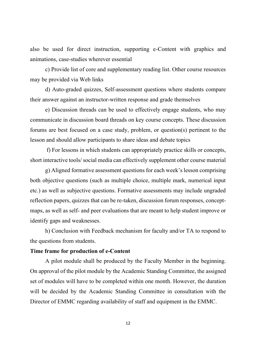also be used for direct instruction, supporting e-Content with graphics and animations, case-studies wherever essential

c) Provide list of core and supplementary reading list. Other course resources may be provided via Web links

d) Auto-graded quizzes, Self-assessment questions where students compare their answer against an instructor-written response and grade themselves

e) Discussion threads can be used to effectively engage students, who may communicate in discussion board threads on key course concepts. These discussion forums are best focused on a case study, problem, or question(s) pertinent to the lesson and should allow participants to share ideas and debate topics

 f) For lessons in which students can appropriately practice skills or concepts, short interactive tools/ social media can effectively supplement other course material

g) Aligned formative assessment questions for each week's lesson comprising both objective questions (such as multiple choice, multiple mark, numerical input etc.) as well as subjective questions. Formative assessments may include ungraded reflection papers, quizzes that can be re-taken, discussion forum responses, conceptmaps, as well as self- and peer evaluations that are meant to help student improve or identify gaps and weaknesses.

h) Conclusion with Feedback mechanism for faculty and/or TA to respond to the questions from students.

#### **Time frame for production of e-Content**

 A pilot module shall be produced by the Faculty Member in the beginning. On approval of the pilot module by the Academic Standing Committee, the assigned set of modules will have to be completed within one month. However, the duration will be decided by the Academic Standing Committee in consultation with the Director of EMMC regarding availability of staff and equipment in the EMMC.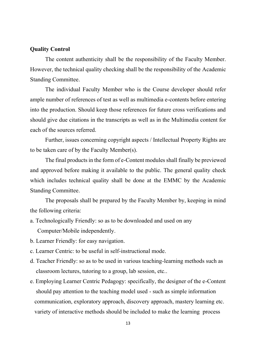#### **Quality Control**

 The content authenticity shall be the responsibility of the Faculty Member. However, the technical quality checking shall be the responsibility of the Academic Standing Committee.

The individual Faculty Member who is the Course developer should refer ample number of references of test as well as multimedia e-contents before entering into the production. Should keep those references for future cross verifications and should give due citations in the transcripts as well as in the Multimedia content for each of the sources referred.

 Further, issues concerning copyright aspects / Intellectual Property Rights are to be taken care of by the Faculty Member(s).

 The final products in the form of e-Content modules shall finally be previewed and approved before making it available to the public. The general quality check which includes technical quality shall be done at the EMMC by the Academic Standing Committee.

The proposals shall be prepared by the Faculty Member by, keeping in mind the following criteria:

- a. Technologically Friendly: so as to be downloaded and used on any Computer/Mobile independently.
- b. Learner Friendly: for easy navigation.
- c. Learner Centric: to be useful in self-instructional mode.
- d. Teacher Friendly: so as to be used in various teaching-learning methods such as classroom lectures, tutoring to a group, lab session, etc..
- e. Employing Learner Centric Pedagogy: specifically, the designer of the e-Content should pay attention to the teaching model used - such as simple information communication, exploratory approach, discovery approach, mastery learning etc. variety of interactive methods should be included to make the learning process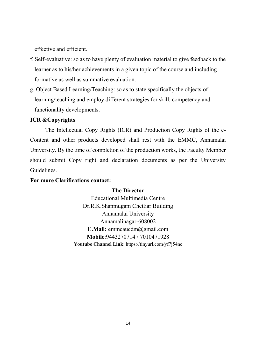effective and efficient.

- f. Self-evaluative: so as to have plenty of evaluation material to give feedback to the learner as to his/her achievements in a given topic of the course and including formative as well as summative evaluation.
- g. Object Based Learning/Teaching: so as to state specifically the objects of learning/teaching and employ different strategies for skill, competency and functionality developments.

#### **ICR &Copyrights**

 The Intellectual Copy Rights (ICR) and Production Copy Rights of the e-Content and other products developed shall rest with the EMMC, Annamalai University. By the time of completion of the production works, the Faculty Member should submit Copy right and declaration documents as per the University **Guidelines** 

#### **For more Clarifications contact:**

**The Director**  Educational Multimedia Centre Dr.R.K.Shanmugam Chettiar Building Annamalai University Annamalinagar-608002 **E.Mail:** emmcaucdm@gmail.com **Mobile**:9443270714 / 7010471928 **Youtube Channel Link**: https://tinyurl.com/yf7j54nc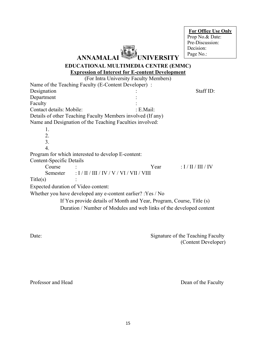|                                     |                                                                      |                                        | <b>For Office Use Only</b> |
|-------------------------------------|----------------------------------------------------------------------|----------------------------------------|----------------------------|
|                                     |                                                                      |                                        | Prop No.& Date:            |
|                                     |                                                                      |                                        | Pre-Discussion:            |
|                                     |                                                                      |                                        | Decision:                  |
|                                     |                                                                      |                                        | Page No.:                  |
|                                     | <b>ANNAMALAI</b>                                                     | UNIVERSITY                             |                            |
|                                     | EDUCATIONAL MULTIMEDIA CENTRE (EMMC)                                 |                                        |                            |
|                                     | <b>Expression of Interest for E-content Development</b>              |                                        |                            |
|                                     |                                                                      | (For Intra University Faculty Members) |                            |
|                                     | Name of the Teaching Faculty (E-Content Developer) :                 |                                        |                            |
| Designation                         |                                                                      |                                        | Staff ID:                  |
| Department                          |                                                                      |                                        |                            |
| Faculty                             |                                                                      |                                        |                            |
| Contact details: Mobile:            |                                                                      | : E.Mail:                              |                            |
|                                     | Details of other Teaching Faculty Members involved (If any)          |                                        |                            |
|                                     | Name and Designation of the Teaching Faculties involved:             |                                        |                            |
| 1.                                  |                                                                      |                                        |                            |
| 2.                                  |                                                                      |                                        |                            |
| 3.                                  |                                                                      |                                        |                            |
| $\overline{4}$ .                    |                                                                      |                                        |                            |
|                                     | Program for which interested to develop E-content:                   |                                        |                            |
| <b>Content-Specific Details</b>     |                                                                      |                                        |                            |
| Course                              |                                                                      | Year                                   | : I / II / III / IV        |
| Semester                            | $: I / II / III / IV / V / VI / VII / VIII$                          |                                        |                            |
| Title(s)                            |                                                                      |                                        |                            |
| Expected duration of Video content: |                                                                      |                                        |                            |
|                                     | Whether you have developed any e-content earlier? : Yes / No         |                                        |                            |
|                                     | If Yes provide details of Month and Year, Program, Course, Title (s) |                                        |                            |
|                                     | Duration / Number of Modules and web links of the developed content  |                                        |                            |
|                                     |                                                                      |                                        |                            |
|                                     |                                                                      |                                        |                            |

Date: Signature of the Teaching Faculty (Content Developer)

Professor and Head Dean of the Faculty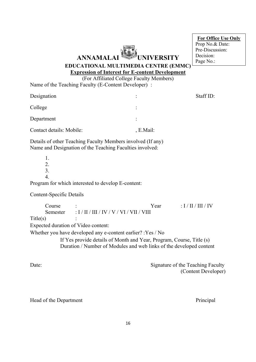### **ANNAMALAI UNIVERSITY**

**For Office Use Only**  Prop No.& Date: Pre-Discussion: Decision: Page No.:

#### **EDUCATIONAL MULTIMEDIA CENTRE (EMMC) Expression of Interest for E-content Development**

(For Affiliated College Faculty Members)

Name of the Teaching Faculty (E-Content Developer) :

| Designation              | $\bullet$<br>$\bullet$ | Staff ID: |
|--------------------------|------------------------|-----------|
| College                  | ٠<br>$\bullet$         |           |
| Department               | ٠<br>$\bullet$         |           |
| Contact details: Mobile: | , E.Mail:              |           |
|                          |                        |           |

Details of other Teaching Faculty Members involved (If any) Name and Designation of the Teaching Faculties involved:

| Program for which interested to develop E-content: |
|----------------------------------------------------|

Content-Specific Details

| Course                                                              |                                                                      | Year | $\frac{1}{2}$ / II / III / IV |
|---------------------------------------------------------------------|----------------------------------------------------------------------|------|-------------------------------|
| Semester                                                            | $\frac{1}{2}$ I / II / III / IV / V / VI / VII / VIII                |      |                               |
| Title(s)                                                            | ٠                                                                    |      |                               |
|                                                                     | Expected duration of Video content:                                  |      |                               |
|                                                                     | Whether you have developed any e-content earlier? : Yes / No         |      |                               |
|                                                                     | If Yes provide details of Month and Year, Program, Course, Title (s) |      |                               |
| Duration / Number of Modules and web links of the developed content |                                                                      |      |                               |
|                                                                     |                                                                      |      |                               |

Date: Signature of the Teaching Faculty (Content Developer)

#### Head of the Department Principal